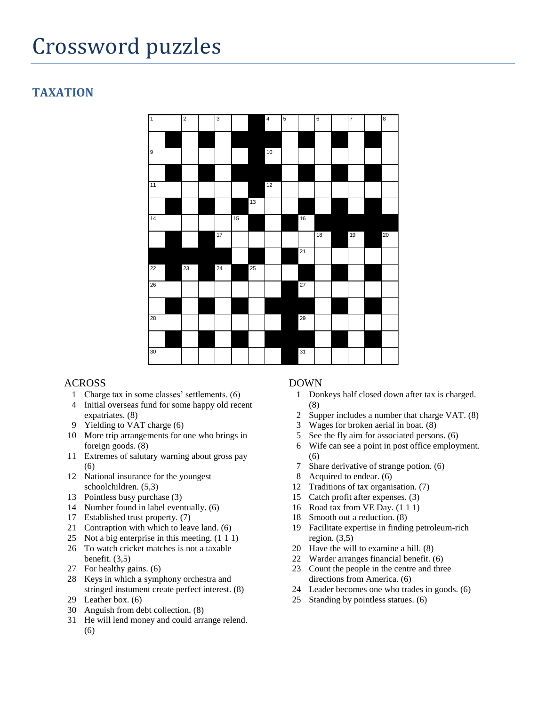# Crossword puzzles

## **TAXATION**



## ACROSS

- Charge tax in some classes' settlements. (6)
- Initial overseas fund for some happy old recent expatriates. (8)
- Yielding to VAT charge (6)
- More trip arrangements for one who brings in foreign goods. (8)
- Extremes of salutary warning about gross pay (6)
- National insurance for the youngest schoolchildren. (5,3)
- Pointless busy purchase (3)
- Number found in label eventually. (6)
- Established trust property. (7)
- Contraption with which to leave land. (6)
- Not a big enterprise in this meeting. (1 1 1)
- To watch cricket matches is not a taxable benefit. (3,5)
- For healthy gains. (6)
- Keys in which a symphony orchestra and stringed instument create perfect interest. (8) Leather box. (6)
- 
- Anguish from debt collection. (8)
- He will lend money and could arrange relend. (6)

- Donkeys half closed down after tax is charged. (8)
- Supper includes a number that charge VAT. (8)
- Wages for broken aerial in boat. (8)
- See the fly aim for associated persons. (6)
- Wife can see a point in post office employment. (6)
- Share derivative of strange potion. (6)
- Acquired to endear. (6)
- Traditions of tax organisation. (7)
- Catch profit after expenses. (3)
- Road tax from VE Day. (1 1 1)
- Smooth out a reduction. (8)
- Facilitate expertise in finding petroleum-rich region.  $(3,5)$
- Have the will to examine a hill. (8)
- Warder arranges financial benefit. (6)
- Count the people in the centre and three directions from America. (6)
- Leader becomes one who trades in goods. (6)
- Standing by pointless statues. (6)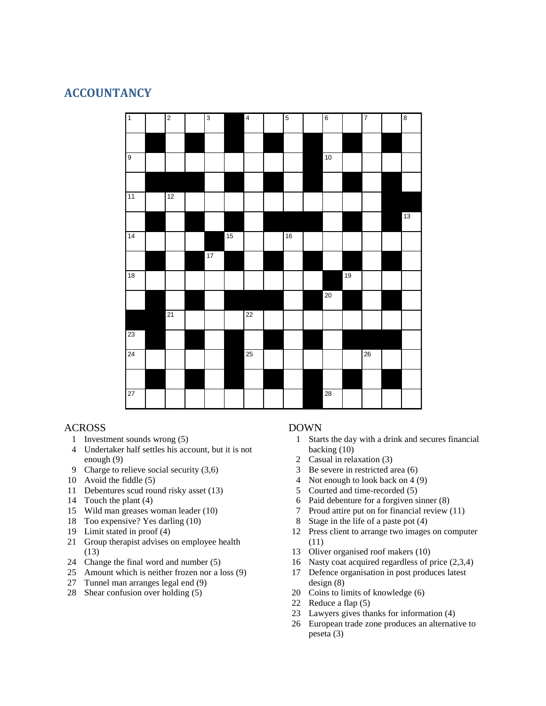## **ACCOUNTANCY**



## ACROSS

- Investment sounds wrong (5)
- Undertaker half settles his account, but it is not enough (9)
- Charge to relieve social security (3,6)
- Avoid the fiddle (5)
- Debentures scud round risky asset (13)
- Touch the plant (4)
- Wild man greases woman leader (10)
- Too expensive? Yes darling (10)
- Limit stated in proof (4)
- Group therapist advises on employee health (13)
- Change the final word and number (5)
- Amount which is neither frozen nor a loss (9)
- Tunnel man arranges legal end (9)
- Shear confusion over holding (5)

- Starts the day with a drink and secures financial backing (10)
- Casual in relaxation (3)
- Be severe in restricted area (6)
- Not enough to look back on 4 (9)
- Courted and time-recorded (5)
- Paid debenture for a forgiven sinner (8)
- Proud attire put on for financial review (11)
- Stage in the life of a paste pot (4)
- Press client to arrange two images on computer (11)
- Oliver organised roof makers (10)
- Nasty coat acquired regardless of price (2,3,4)
- Defence organisation in post produces latest design (8)
- Coins to limits of knowledge (6)
- Reduce a flap (5)
- Lawyers gives thanks for information (4)
- European trade zone produces an alternative to peseta (3)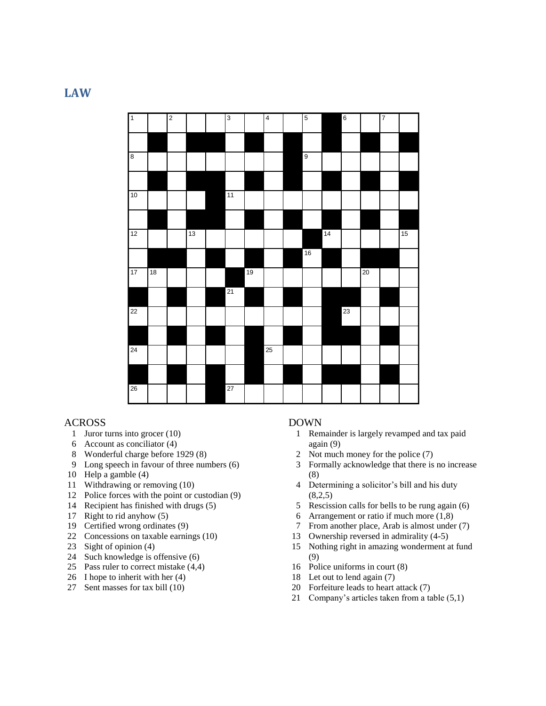## **LAW**



## ACROSS

- Juror turns into grocer (10)
- Account as conciliator (4)
- Wonderful charge before 1929 (8)
- Long speech in favour of three numbers (6)
- Help a gamble (4)
- Withdrawing or removing (10)
- Police forces with the point or custodian (9)
- Recipient has finished with drugs (5)
- Right to rid anyhow (5)
- Certified wrong ordinates (9)
- Concessions on taxable earnings (10)
- Sight of opinion (4)
- Such knowledge is offensive (6)
- Pass ruler to correct mistake (4,4)
- I hope to inherit with her (4)
- Sent masses for tax bill (10)

- Remainder is largely revamped and tax paid again (9)
- Not much money for the police (7)
- Formally acknowledge that there is no increase (8)
- Determining a solicitor's bill and his duty  $(8,2,5)$
- Rescission calls for bells to be rung again (6)
- Arrangement or ratio if much more (1,8)
- From another place, Arab is almost under (7)
- Ownership reversed in admirality (4-5)
- Nothing right in amazing wonderment at fund (9)
- Police uniforms in court (8)
- Let out to lend again (7)
- Forfeiture leads to heart attack (7)
- Company's articles taken from a table (5,1)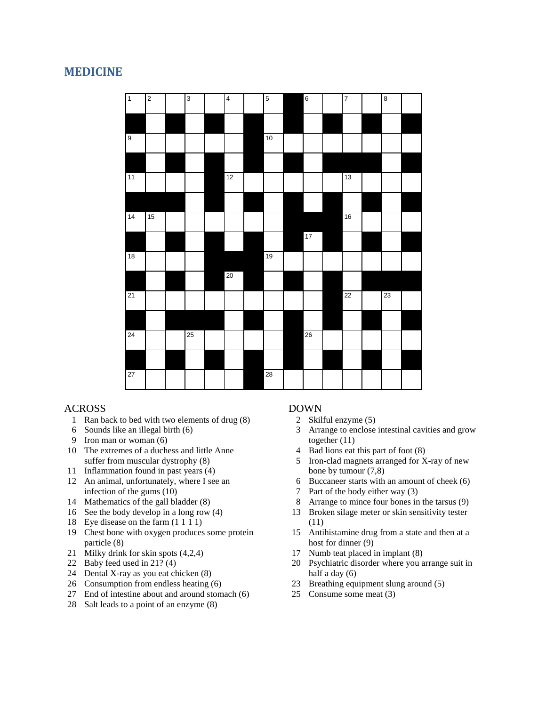## **MEDICINE**



## ACROSS

- Ran back to bed with two elements of drug (8)
- Sounds like an illegal birth (6)
- Iron man or woman (6)
- The extremes of a duchess and little Anne suffer from muscular dystrophy (8)
- Inflammation found in past years (4)
- An animal, unfortunately, where I see an infection of the gums (10)
- Mathematics of the gall bladder (8)
- See the body develop in a long row (4)
- Eye disease on the farm (1 1 1 1)
- Chest bone with oxygen produces some protein particle (8)
- Milky drink for skin spots (4,2,4)
- Baby feed used in 21? (4)
- Dental X-ray as you eat chicken (8)
- Consumption from endless heating (6)
- End of intestine about and around stomach (6)
- Salt leads to a point of an enzyme (8)

- Skilful enzyme (5)
- Arrange to enclose intestinal cavities and grow together (11)
- Bad lions eat this part of foot (8)
- Iron-clad magnets arranged for X-ray of new bone by tumour (7,8)
- Buccaneer starts with an amount of cheek (6)
- Part of the body either way (3)
- Arrange to mince four bones in the tarsus (9)
- Broken silage meter or skin sensitivity tester (11)
- Antihistamine drug from a state and then at a host for dinner (9)
- Numb teat placed in implant (8)
- Psychiatric disorder where you arrange suit in half a day (6)
- Breathing equipment slung around (5)
- Consume some meat (3)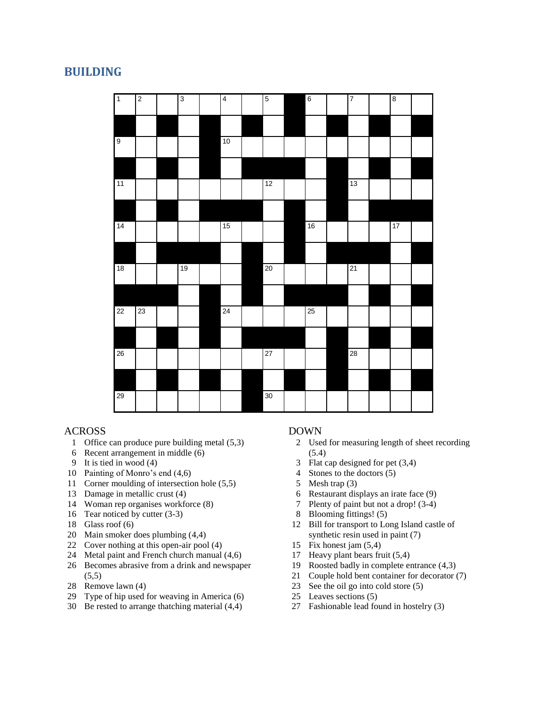## **BUILDING**

| $\overline{1}$ | $\overline{2}$ | $\overline{3}$ | $\overline{4}$ | $\overline{5}$  | $\sqrt{6}$ | $\overline{7}$ | $\overline{\bf 8}$ |  |
|----------------|----------------|----------------|----------------|-----------------|------------|----------------|--------------------|--|
|                |                |                |                |                 |            |                |                    |  |
| $\overline{9}$ |                |                | 10             |                 |            |                |                    |  |
|                |                |                |                |                 |            |                |                    |  |
| 11             |                |                |                | 12              |            | 13             |                    |  |
|                |                |                |                |                 |            |                |                    |  |
| 14             |                |                | 15             |                 | 16         |                | 17                 |  |
|                |                |                |                |                 |            |                |                    |  |
| 18             |                | 19             |                | 20              |            | 21             |                    |  |
|                |                |                |                |                 |            |                |                    |  |
| 22             | 23             |                | 24             |                 | 25         |                |                    |  |
|                |                |                |                |                 |            |                |                    |  |
| $26\,$         |                |                |                | $\overline{27}$ |            | 28             |                    |  |
|                |                |                |                |                 |            |                |                    |  |
| 29             |                |                |                | 30              |            |                |                    |  |

## ACROSS

- Office can produce pure building metal (5,3)
- Recent arrangement in middle (6)
- It is tied in wood (4)
- Painting of Monro's end (4,6)
- Corner moulding of intersection hole (5,5)
- Damage in metallic crust (4)
- Woman rep organises workforce (8)
- Tear noticed by cutter (3-3)
- Glass roof (6)
- Main smoker does plumbing (4,4)
- Cover nothing at this open-air pool (4)
- Metal paint and French church manual (4,6)
- Becomes abrasive from a drink and newspaper  $(5,5)$
- Remove lawn (4)
- Type of hip used for weaving in America (6)
- Be rested to arrange thatching material (4,4)

- Used for measuring length of sheet recording (5.4)
- Flat cap designed for pet (3,4)
- Stones to the doctors (5)
- Mesh trap (3)
- Restaurant displays an irate face (9)
- Plenty of paint but not a drop! (3-4)
- Blooming fittings! (5)
- Bill for transport to Long Island castle of synthetic resin used in paint (7)
- Fix honest jam (5,4)
- Heavy plant bears fruit (5,4)
- Roosted badly in complete entrance (4,3)
- Couple hold bent container for decorator (7)
- See the oil go into cold store (5)
- Leaves sections (5)
- Fashionable lead found in hostelry (3)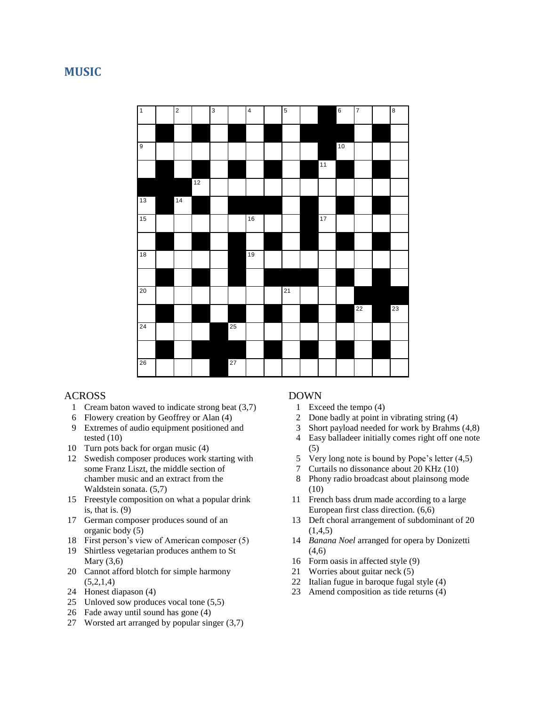## **MUSIC**



## ACROSS

- Cream baton waved to indicate strong beat (3,7)
- Flowery creation by Geoffrey or Alan (4)
- Extremes of audio equipment positioned and tested (10)
- Turn pots back for organ music (4)
- Swedish composer produces work starting with some Franz Liszt, the middle section of chamber music and an extract from the Waldstein sonata. (5,7)
- Freestyle composition on what a popular drink is, that is. (9)
- German composer produces sound of an organic body (5)
- First person's view of American composer (5)
- Shirtless vegetarian produces anthem to St Mary (3,6)
- Cannot afford blotch for simple harmony  $(5,2,1,4)$
- Honest diapason (4)
- Unloved sow produces vocal tone (5,5)
- Fade away until sound has gone (4)
- Worsted art arranged by popular singer (3,7)

- Exceed the tempo (4)
- Done badly at point in vibrating string (4)
- Short payload needed for work by Brahms (4,8)
- Easy balladeer initially comes right off one note (5)
- Very long note is bound by Pope's letter (4,5)
- Curtails no dissonance about 20 KHz (10)
- Phony radio broadcast about plainsong mode (10)
- French bass drum made according to a large European first class direction. (6,6)
- Deft choral arrangement of subdominant of 20  $(1,4,5)$
- *Banana Noel* arranged for opera by Donizetti  $(4.6)$
- Form oasis in affected style (9)
- Worries about guitar neck (5)
- Italian fugue in baroque fugal style (4)
- Amend composition as tide returns (4)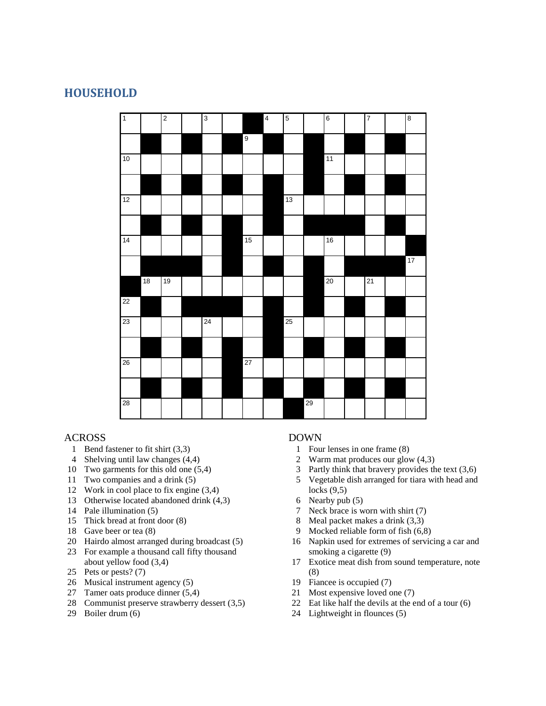## **HOUSEHOLD**



## ACROSS

- Bend fastener to fit shirt (3,3)
- Shelving until law changes (4,4)
- Two garments for this old one (5,4)
- Two companies and a drink (5)
- Work in cool place to fix engine (3,4)
- Otherwise located abandoned drink (4,3)
- Pale illumination (5)
- Thick bread at front door (8)
- Gave beer or tea (8)
- Hairdo almost arranged during broadcast (5)
- For example a thousand call fifty thousand about yellow food (3,4)
- Pets or pests? (7)
- Musical instrument agency (5)
- Tamer oats produce dinner (5,4)
- Communist preserve strawberry dessert (3,5)
- Boiler drum (6)

- Four lenses in one frame (8)
- Warm mat produces our glow (4,3)
- Partly think that bravery provides the text (3,6)
- Vegetable dish arranged for tiara with head and locks (9,5)
- Nearby pub (5)
- Neck brace is worn with shirt (7)
- Meal packet makes a drink (3,3)
- Mocked reliable form of fish (6,8)
- Napkin used for extremes of servicing a car and smoking a cigarette (9)
- Exotice meat dish from sound temperature, note (8)
- Fiancee is occupied (7)
- Most expensive loved one (7)
- Eat like half the devils at the end of a tour (6)
- Lightweight in flounces (5)